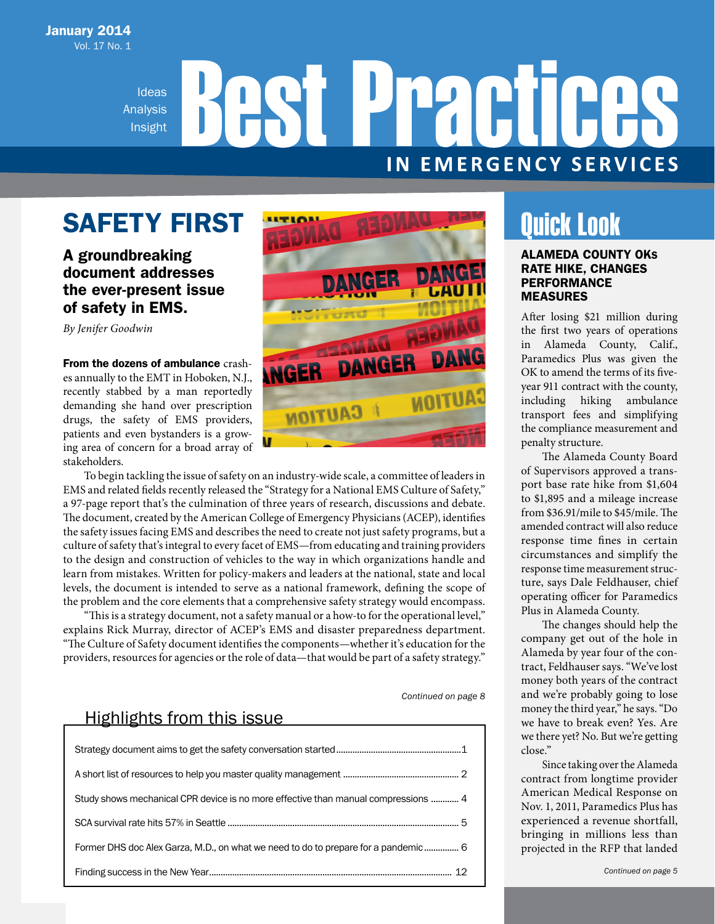Ideas Analysis Insight

# **Practi IN EMERGENCY SERVICES**

# SAFETY FIRST

### A groundbreaking document addresses the ever-present issue of safety in EMS.

*By Jenifer Goodwin* 

From the dozens of ambulance crashes annually to the EMT in Hoboken, N.J., recently stabbed by a man reportedly demanding she hand over prescription drugs, the safety of EMS providers, patients and even bystanders is a growing area of concern for a broad array of stakeholders.

To begin tackling the issue of safety on an industry-wide scale, a committee of leaders in EMS and related fields recently released the "Strategy for a National EMS Culture of Safety," a 97-page report that's the culmination of three years of research, discussions and debate. The document, created by the American College of Emergency Physicians (ACEP), identifies the safety issues facing EMS and describes the need to create not just safety programs, but a culture of safety that's integral to every facet of EMS—from educating and training providers to the design and construction of vehicles to the way in which organizations handle and learn from mistakes. Written for policy-makers and leaders at the national, state and local levels, the document is intended to serve as a national framework, defining the scope of the problem and the core elements that a comprehensive safety strategy would encompass.

"This is a strategy document, not a safety manual or a how-to for the operational level," explains Rick Murray, director of ACEP's EMS and disaster preparedness department. "The Culture of Safety document identifies the components—whether it's education for the providers, resources for agencies or the role of data—that would be part of a safety strategy."

*Continued on page 8*

### Highlights from this issue

| Study shows mechanical CPR device is no more effective than manual compressions  4 |  |
|------------------------------------------------------------------------------------|--|
|                                                                                    |  |
| Former DHS doc Alex Garza, M.D., on what we need to do to prepare for a pandemic 6 |  |
|                                                                                    |  |



## Quick Look

### ALAMEDA COUNTY OKS RATE HIKE, CHANGES PERFORMANCE MEASURES

After losing \$21 million during the first two years of operations in Alameda County, Calif., Paramedics Plus was given the OK to amend the terms of its fiveyear 911 contract with the county, including hiking ambulance transport fees and simplifying the compliance measurement and penalty structure.

The Alameda County Board of Supervisors approved a transport base rate hike from \$1,604 to \$1,895 and a mileage increase from \$36.91/mile to \$45/mile. The amended contract will also reduce response time fines in certain circumstances and simplify the response time measurement structure, says Dale Feldhauser, chief operating officer for Paramedics Plus in Alameda County.

The changes should help the company get out of the hole in Alameda by year four of the contract, Feldhauser says. "We've lost money both years of the contract and we're probably going to lose money the third year," he says. "Do we have to break even? Yes. Are we there yet? No. But we're getting close."

Since taking over the Alameda contract from longtime provider American Medical Response on Nov. 1, 2011, Paramedics Plus has experienced a revenue shortfall, bringing in millions less than projected in the RFP that landed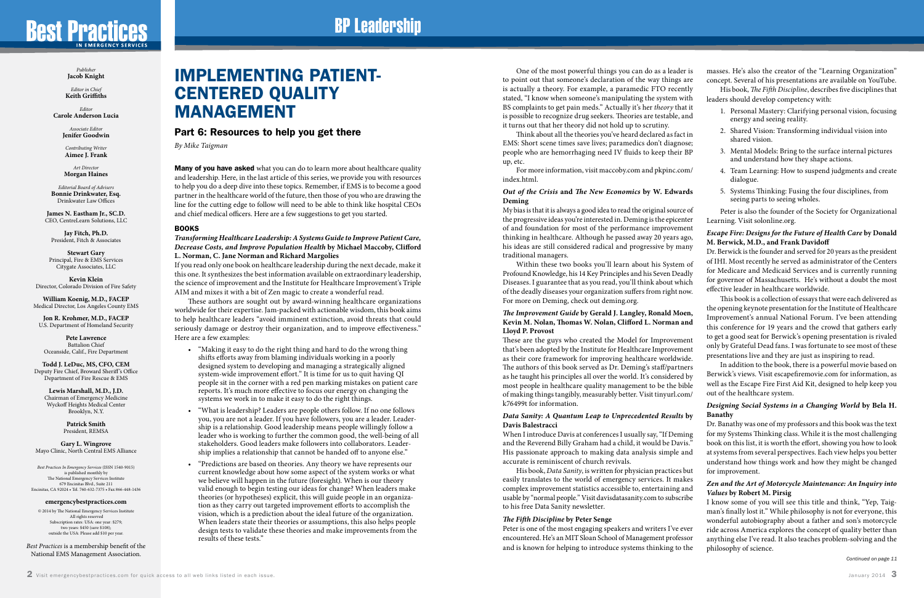# **Best Practices**

*Publisher* **Jacob Knight**

*Editor in Chief* **Keith Griffiths**

*Editor* **Carole Anderson Lucia**

> *Associate Editor* **Jenifer Goodwin**

*Contributing Writer* **Aimee J. Frank**

*Art Director* **Morgan Haines**

*Editorial Board of Advisers* **Bonnie Drinkwater, Esq.** Drinkwater Law Offices

**James N. Eastham Jr., SC.D.** CEO, CentreLearn Solutions, LLC

**Jay Fitch, Ph.D.** President, Fitch & Associates

**Stewart Gary** Principal, Fire & EMS Services Citygate Associates, LLC

**Kevin Klein** Director, Colorado Division of Fire Safety

**William Koenig, M.D., FACEP** Medical Director, Los Angeles County EMS

**Jon R. Krohmer, M.D., FACEP** U.S. Department of Homeland Security

**Pete Lawrence** Battalion Chief Oceanside, Calif., Fire Department

**Todd J. LeDuc, MS, CFO, CEM** Deputy Fire Chief, Broward Sheriff 's Office Department of Fire Rescue & EMS

**Lewis Marshall, M.D., J.D.** Chairman of Emergency Medicine Wyckoff Heights Medical Center Brooklyn, N.Y.

> **Patrick Smith** President, REMSA

**Gary L. Wingrove** Mayo Clinic, North Central EMS Alliance **Many of you have asked** what you can do to learn more about healthcare quality and leadership. Here, in the last article of this series, we provide you with resources to help you do a deep dive into these topics. Remember, if EMS is to become a good partner in the healthcare world of the future, then those of you who are drawing the line for the cutting edge to follow will need to be able to think like hospital CEOs and chief medical officers. Here are a few suggestions to get you started.

*Best Practices In Emergency Services* (ISSN 1540-9015) is published monthly by The National Emergency Services Institute 679 Encinitas Blvd., Suite 211 Encinitas, CA 92024 • Tel. 760-632-7375 • Fax 866-448-1436

#### **emergencybestpractices.com**

© 2014 by The National Emergency Services Institute All rights reserved Subscription rates: USA: one year: \$279; two years: \$450 (save \$108); outside the USA: Please add \$10 per year.

*Best Practices* is a membership benefit of the National EMS Management Association.

### IMPLEMENTING PATIENT-CENTERED QUALITY MANAGEMENT

### Part 6: Resources to help you get there

*By Mike Taigman*

### BOOKS

### *Transforming Healthcare Leadership: A Systems Guide to Improve Patient Care, Decrease Costs, and Improve Population Health* **by Michael Maccoby, Clifford L. Norman, C. Jane Norman and Richard Margolies**

If you read only one book on healthcare leadership during the next decade, make it this one. It synthesizes the best information available on extraordinary leadership, the science of improvement and the Institute for Healthcare Improvement's Triple AIM and mixes it with a bit of Zen magic to create a wonderful read.

These authors are sought out by award-winning healthcare organizations worldwide for their expertise. Jam-packed with actionable wisdom, this book aims to help healthcare leaders "avoid imminent extinction, avoid threats that could seriously damage or destroy their organization, and to improve effectiveness." Here are a few examples:

- "Making it easy to do the right thing and hard to do the wrong thing shifts efforts away from blaming individuals working in a poorly designed system to developing and managing a strategically aligned system-wide improvement effort." It is time for us to quit having QI people sit in the corner with a red pen marking mistakes on patient care reports. It's much more effective to focus our energy on changing the systems we work in to make it easy to do the right things.
- "What is leadership? Leaders are people others follow. If no one follows you, you are not a leader. If you have followers, you are a leader. Leadership is a relationship. Good leadership means people willingly follow a leader who is working to further the common good, the well-being of all stakeholders. Good leaders make followers into collaborators. Leadership implies a relationship that cannot be handed off to anyone else."
- "Predictions are based on theories. Any theory we have represents our current knowledge about how some aspect of the system works or what we believe will happen in the future (foresight). When is our theory valid enough to begin testing our ideas for change? When leaders make theories (or hypotheses) explicit, this will guide people in an organization as they carry out targeted improvement efforts to accomplish the vision, which is a prediction about the ideal future of the organization. When leaders state their theories or assumptions, this also helps people design tests to validate these theories and make improvements from the results of these tests."

to point out that someone's declaration of the way things are is actually a theory. For example, a paramedic FTO recently stated, "I know when someone's manipulating the system with BS complaints to get pain meds." Actually it's her *theory* that it is possible to recognize drug seekers. Theories are testable, and it turns out that her theory did not hold up to scrutiny. EMS: Short scene times save lives; paramedics don't diagnose; people who are hemorrhaging need IV fluids to keep their BP up, etc. index.html. *Out of the Crisis* **and** *The New Economics* **by W. Edwards Deming** My bias is that it is always a good idea to read the original source of the progressive ideas you're interested in. Deming is the epicenter of and foundation for most of the performance improvement thinking in healthcare. Although he passed away 20 years ago, his ideas are still considered radical and progressive by many traditional managers. Profound Knowledge, his 14 Key Principles and his Seven Deadly Diseases. I guarantee that as you read, you'll think about which of the deadly diseases your organization suffers from right now. For more on Deming, check out deming.org. *The Improvement Guide* **by Gerald J. Langley, Ronald Moen, Kevin M. Nolan, Thomas W. Nolan, Clifford L. Norman and Lloyd P. Provost**  These are the guys who created the Model for Improvement that's been adopted by the Institute for Healthcare Improvement as their core framework for improving healthcare worldwide. The authors of this book served as Dr. Deming's staff/partners as he taught his principles all over the world. It's considered by most people in healthcare quality management to be the bible of making things tangibly, measurably better. Visit tinyurl.com/ k76499t for information. *Data Sanity: A Quantum Leap to Unprecedented Results* **by Davis Balestracci** When I introduce Davis at conferences I usually say, "If Deming and the Reverend Billy Graham had a child, it would be Davis." His passionate approach to making data analysis simple and accurate is reminiscent of church revivals.

easily translates to the world of emergency services. It makes complex improvement statistics accessible to, entertaining and usable by "normal people." Visit davisdatasanity.com to subscribe to his free Data Sanity newsletter.

One of the most powerful things you can do as a leader is Think about all the theories you've heard declared as fact in For more information, visit maccoby.com and pkpinc.com/ Within these two books you'll learn about his System of His book, *Data Sanity*, is written for physician practices but masses. He's also the creator of the "Learning Organization" concept. Several of his presentations are available on YouTube. His book, *The Fifth Discipline*, describes five disciplines that leaders should develop competency with: 1. Personal Mastery: Clarifying personal vision, focusing energy and seeing reality. 2. Shared Vision: Transforming individual vision into shared vision. 3. Mental Models: Bring to the surface internal pictures and understand how they shape actions. 4. Team Learning: How to suspend judgments and create dialogue. 5. Systems Thinking: Fusing the four disciplines, from seeing parts to seeing wholes. Peter is also the founder of the Society for Organizational Learning. Visit solonline.org. *Escape Fire: Designs for the Future of Health Care* **by Donald M. Berwick, M.D., and Frank Davidoff**  Dr. Berwick is the founder and served for 20 years as the president of IHI. Most recently he served as administrator of the Centers for Medicare and Medicaid Services and is currently running for governor of Massachusetts. He's without a doubt the most effective leader in healthcare worldwide. This book is a collection of essays that were each delivered as the opening keynote presentation for the Institute of Healthcare Improvement's annual National Forum. I've been attending this conference for 19 years and the crowd that gathers early to get a good seat for Berwick's opening presentation is rivaled only by Grateful Dead fans. I was fortunate to see most of these presentations live and they are just as inspiring to read. In addition to the book, there is a powerful movie based on Berwick's views. Visit escapefiremovie.com for information, as well as the Escape Fire First Aid Kit, designed to help keep you out of the healthcare system. *Designing Social Systems in a Changing World* **by Bela H. Banathy** Dr. Banathy was one of my professors and this book was the text for my Systems Thinking class. While it is the most challenging book on this list, it is worth the effort, showing you how to look at systems from several perspectives. Each view helps you better understand how things work and how they might be changed for improvement.

### *The Fifth Discipline* **by Peter Senge**

Peter is one of the most engaging speakers and writers I've ever encountered. He's an MIT Sloan School of Management professor and is known for helping to introduce systems thinking to the

# **BP Leadership**

### *Zen and the Art of Motorcycle Maintenance: An Inquiry into Values* **by Robert M. Pirsig**

I know some of you will see this title and think, "Yep, Taigman's finally lost it." While philosophy is not for everyone, this wonderful autobiography about a father and son's motorcycle ride across America explores the concept of quality better than anything else I've read. It also teaches problem-solving and the philosophy of science.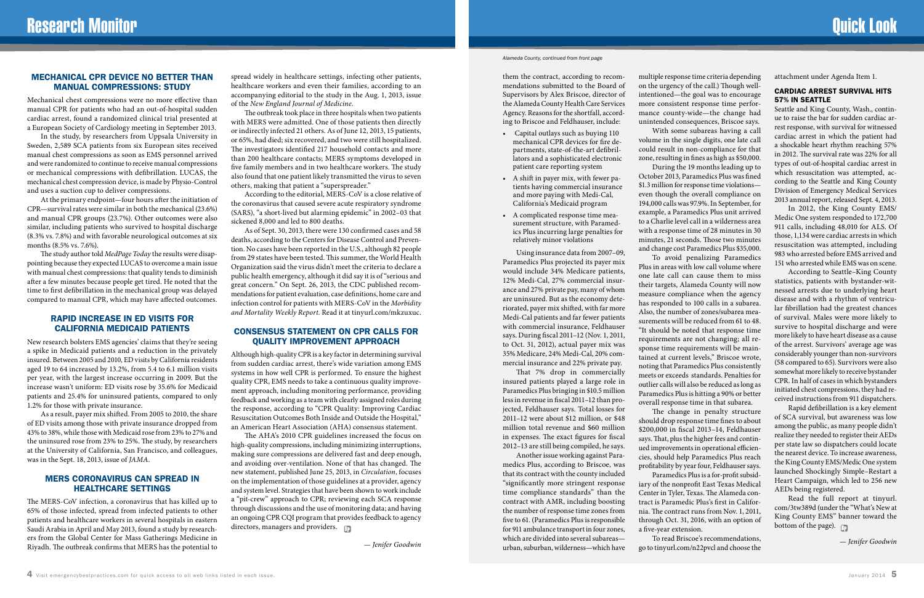#### *Alameda County, continued from front page*

them the contract, according to recommendations submitted to the Board of Supervisors by Alex Briscoe, director of the Alameda County Health Care Services Agency. Reasons for the shortfall, according to Briscoe and Feldhauser, include:

- Capital outlays such as buying 110 mechanical CPR devices for fire departments, state-of-the-art defibrillators and a sophisticated electronic patient care reporting system
- A shift in payer mix, with fewer patients having commercial insurance and more paying with Medi-Cal, California's Medicaid program
- A complicated response time measurement structure, with Paramedics Plus incurring large penalties for relatively minor violations

Using insurance data from 2007–09, Paramedics Plus projected its payer mix would include 34% Medicare patients, 12% Medi-Cal, 27% commercial insurance and 27% private pay, many of whom are uninsured. But as the economy deteriorated, payer mix shifted, with far more Medi-Cal patients and far fewer patients with commercial insurance, Feldhauser says. During fiscal 2011–12 (Nov. 1, 2011, to Oct. 31, 2012), actual payer mix was 35% Medicare, 24% Medi-Cal, 20% commercial insurance and 22% private pay.

That 7% drop in commercially insured patients played a large role in Paramedics Plus bringing in \$10.5 million less in revenue in fiscal 2011–12 than projected, Feldhauser says. Total losses for 2011–12 were about \$12 million, or \$48 million total revenue and \$60 million in expenses. The exact figures for fiscal 2012–13 are still being compiled, he says.

Another issue working against Paramedics Plus, according to Briscoe, was that its contract with the county included "significantly more stringent response time compliance standards" than the contract with AMR, including boosting the number of response time zones from five to 61. (Paramedics Plus is responsible for 911 ambulance transport in four zones, which are divided into several subareas urban, suburban, wilderness—which have

With some subareas having a call During the 19 months leading up to To avoid penalizing Paramedics

multiple response time criteria depending on the urgency of the call.) Though wellintentioned—the goal was to encourage more consistent response time performance county-wide—the change had unintended consequences, Briscoe says. volume in the single digits, one late call could result in non-compliance for that zone, resulting in fines as high as \$50,000. October 2013, Paramedics Plus was fined \$1.3 million for response time violations even though the overall compliance on 194,000 calls was 97.9%. In September, for example, a Paramedics Plus unit arrived to a Charlie level call in a wilderness area with a response time of 28 minutes in 30 minutes, 21 seconds. Those two minutes and change cost Paramedics Plus \$35,000. Plus in areas with low call volume where one late call can cause them to miss their targets, Alameda County will now measure compliance when the agency has responded to 100 calls in a subarea. Also, the number of zones/subarea measurements will be reduced from 61 to 48. "It should be noted that response time requirements are not changing; all response time requirements will be maintained at current levels," Briscoe wrote, noting that Paramedics Plus consistently meets or exceeds standards. Penalties for outlier calls will also be reduced as long as Paramedics Plus is hitting a 90% or better

> Read the full report at tinyurl. com/3tw389d (under the "What's New at King County EMS" banner toward the bottom of the page).

overall response time in that subarea.

The change in penalty structure should drop response time fines to about \$200,000 in fiscal 2013–14, Feldhauser says. That, plus the higher fees and continued improvements in operational efficiencies, should help Paramedics Plus reach profitability by year four, Feldhauser says. Paramedics Plus is a for-profit subsidiary of the nonprofit East Texas Medical Center in Tyler, Texas. The Alameda contract is Paramedic Plus's first in California. The contract runs from Nov. 1, 2011, through Oct. 31, 2016, with an option of a five-year extension.

To read Briscoe's recommendations, go to tinyurl.com/n22pvcl and choose the attachment under Agenda Item 1.

### CARDIAC ARREST SURVIVAL HITS 57% IN SEATTLE

Seattle and King County, Wash., continue to raise the bar for sudden cardiac arrest response, with survival for witnessed cardiac arrest in which the patient had a shockable heart rhythm reaching 57% in 2012. The survival rate was 22% for all types of out-of-hospital cardiac arrest in which resuscitation was attempted, according to the Seattle and King County Division of Emergency Medical Services 2013 annual report, released Sept. 4, 2013.

In 2012, the King County EMS/ Medic One system responded to 172,700 911 calls, including 48,010 for ALS. Of those, 1,134 were cardiac arrests in which resuscitation was attempted, including 983 who arrested before EMS arrived and 151 who arrested while EMS was on scene.

According to Seattle–King County statistics, patients with bystander-witnessed arrests due to underlying heart disease and with a rhythm of ventricular fibrillation had the greatest chances of survival. Males were more likely to survive to hospital discharge and were more likely to have heart disease as a cause of the arrest. Survivors' average age was considerably younger than non-survivors (58 compared to 65). Survivors were also somewhat more likely to receive bystander CPR. In half of cases in which bystanders initiated chest compressions, they had received instructions from 911 dispatchers.

The AHA's 2010 CPR guidelines increased the focus on high-quality compressions, including minimizing interruptions, making sure compressions are delivered fast and deep enough, and avoiding over-ventilation. None of that has changed. The new statement, published June 25, 2013, in *Circulation*, focuses on the implementation of those guidelines at a provider, agency and system level. Strategies that have been shown to work include a "pit-crew" approach to CPR; reviewing each SCA response through discussions and the use of monitoring data; and having an ongoing CPR CQI program that provides feedback to agency directors, managers and providers.

Rapid defibrillation is a key element of SCA survival, but awareness was low among the public, as many people didn't realize they needed to register their AEDs per state law so dispatchers could locate the nearest device. To increase awareness, the King County EMS/Medic One system launched Shockingly Simple–Restart a Heart Campaign, which led to 256 new AEDs being registered.

*— Jenifer Goodwin*

### MECHANICAL CPR DEVICE NO BETTER THAN MANUAL COMPRESSIONS: STUDY

Mechanical chest compressions were no more effective than manual CPR for patients who had an out-of-hospital sudden cardiac arrest, found a randomized clinical trial presented at a European Society of Cardiology meeting in September 2013.

In the study, by researchers from Uppsala University in Sweden, 2,589 SCA patients from six European sites received manual chest compressions as soon as EMS personnel arrived and were randomized to continue to receive manual compressions or mechanical compressions with defibrillation. LUCAS, the mechanical chest compression device, is made by Physio-Control and uses a suction cup to deliver compressions.

At the primary endpoint—four hours after the initiation of CPR—survival rates were similar in both the mechanical (23.6%) and manual CPR groups (23.7%). Other outcomes were also similar, including patients who survived to hospital discharge (8.3% vs. 7.8%) and with favorable neurological outcomes at six months (8.5% vs. 7.6%).

The study author told *MedPage Today* the results were disappointing because they expected LUCAS to overcome a main issue with manual chest compressions: that quality tends to diminish after a few minutes because people get tired. He noted that the time to first defibrillation in the mechanical group was delayed compared to manual CPR, which may have affected outcomes.

### RAPID INCREASE IN ED VISITS FOR CALIFORNIA MEDICAID PATIENTS

New research bolsters EMS agencies' claims that they're seeing a spike in Medicaid patients and a reduction in the privately insured. Between 2005 and 2010, ED visits by California residents aged 19 to 64 increased by 13.2%, from 5.4 to 6.1 million visits per year, with the largest increase occurring in 2009. But the increase wasn't uniform: ED visits rose by 35.6% for Medicaid patients and 25.4% for uninsured patients, compared to only 1.2% for those with private insurance.

As a result, payer mix shifted. From 2005 to 2010, the share of ED visits among those with private insurance dropped from 43% to 38%, while those with Medicaid rose from 23% to 27% and the uninsured rose from 23% to 25%. The study, by researchers at the University of California, San Francisco, and colleagues, was in the Sept. 18, 2013, issue of *JAMA*.

### MERS CORONAVIRUS CAN SPREAD IN HEALTHCARE SETTINGS

The MERS-CoV infection, a coronavirus that has killed up to 65% of those infected, spread from infected patients to other patients and healthcare workers in several hospitals in eastern Saudi Arabia in April and May 2013, found a study by researchers from the Global Center for Mass Gatherings Medicine in Riyadh. The outbreak confirms that MERS has the potential to

spread widely in healthcare settings, infecting other patients, healthcare workers and even their families, according to an accompanying editorial to the study in the Aug. 1, 2013, issue of the *New England Journal of Medicine*.

The outbreak took place in three hospitals when two patients with MERS were admitted. One of those patients then directly or indirectly infected 21 others. As of June 12, 2013, 15 patients, or 65%, had died; six recovered, and two were still hospitalized. The investigators identified 217 household contacts and more than 200 healthcare contacts; MERS symptoms developed in five family members and in two healthcare workers. The study also found that one patient likely transmitted the virus to seven others, making that patient a "superspreader."

According to the editorial, MERS-CoV is a close relative of the coronavirus that caused severe acute respiratory syndrome (SARS), "a short-lived but alarming epidemic" in 2002–03 that sickened 8,000 and led to 800 deaths.

As of Sept. 30, 2013, there were 130 confirmed cases and 58 deaths, according to the Centers for Disease Control and Prevention. No cases have been reported in the U.S., although 82 people from 29 states have been tested. This summer, the World Health Organization said the virus didn't meet the criteria to declare a public health emergency, although it did say it is of "serious and great concern." On Sept. 26, 2013, the CDC published recommendations for patient evaluation, case definitions, home care and infection control for patients with MERS-CoV in the *Morbidity and Mortality Weekly Report*. Read it at tinyurl.com/mkzuxuc.

### CONSENSUS STATEMENT ON CPR CALLS FOR QUALITY IMPROVEMENT APPROACH

Although high-quality CPR is a key factor in determining survival from sudden cardiac arrest, there's wide variation among EMS systems in how well CPR is performed. To ensure the highest quality CPR, EMS needs to take a continuous quality improvement approach, including monitoring performance, providing feedback and working as a team with clearly assigned roles during the response, according to "CPR Quality: Improving Cardiac Resuscitation Outcomes Both Inside and Outside the Hospital," an American Heart Association (AHA) consensus statement.

 *— Jenifer Goodwin*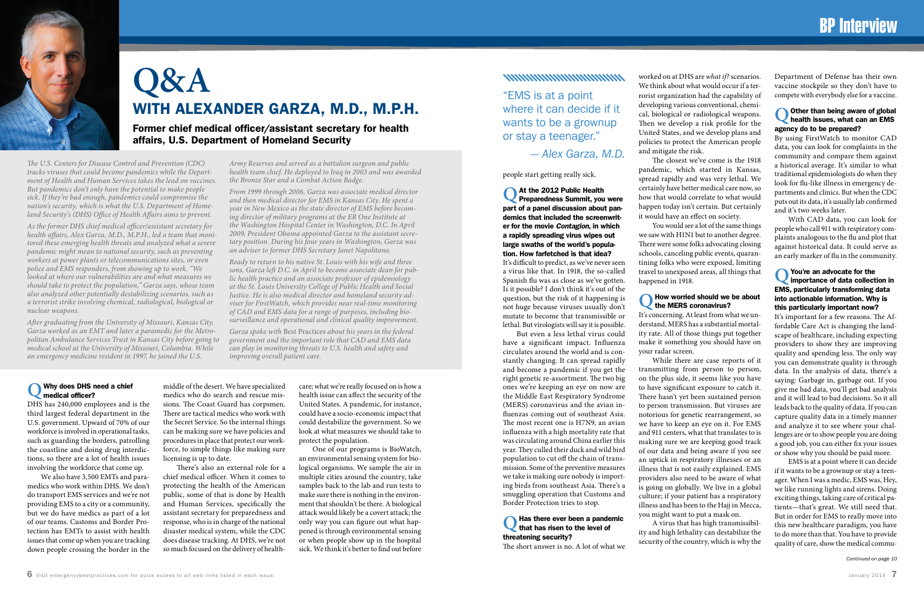

# **Q&A** WITH ALEXANDER GARZA, M.D., M.P.H.

Former chief medical officer/assistant secretary for health affairs, U.S. Department of Homeland Security

### **Q** Why does DHS need a chief medical officer?

DHS has 240,000 employees and is the third largest federal department in the U.S. government. Upward of 70% of our workforce is involved in operational tasks, such as guarding the borders, patrolling the coastline and doing drug interdictions, so there are a lot of health issues involving the workforce that come up.

We also have 3,500 EMTs and paramedics who work within DHS. We don't do transport EMS services and we're not providing EMS to a city or a community, but we do have medics as part of a lot of our teams. Customs and Border Protection has EMTs to assist with health issues that come up when you are tracking down people crossing the border in the

middle of the desert. We have specialized medics who do search and rescue missions. The Coast Guard has corpsmen. There are tactical medics who work with the Secret Service. So the internal things can be making sure we have policies and procedures in place that protect our workforce, to simple things like making sure licensing is up to date.

There's also an external role for a chief medical officer. When it comes to protecting the health of the American public, some of that is done by Health and Human Services, specifically the assistant secretary for preparedness and response, who is in charge of the national disaster medical system, while the CDC does disease tracking. At DHS, we're not so much focused on the delivery of health-

care; what we're really focused on is how a health issue can affect the security of the United States. A pandemic, for instance, could have a socio-economic impact that could destabilize the government. So we look at what measures we should take to protect the population.

### **Has there ever been a pandemic** that has risen to the level of threatening security?

One of our programs is BioWatch, an environmental sensing system for biological organisms. We sample the air in multiple cities around the country, take samples back to the lab and run tests to make sure there is nothing in the environment that shouldn't be there. A biological attack would likely be a covert attack; the only way you can figure out what happened is through environmental sensing or when people show up in the hospital sick. We think it's better to find out before

### 

people start getting really sick.

**Q** At the 2012 Public Health Preparedness Summit, you were part of a panel discussion about pandemics that included the screenwriter for the movie *Contagion*, in which a rapidly spreading virus wipes out large swaths of the world's population. How farfetched is that idea?

It's difficult to predict, as we've never seen a virus like that. In 1918, the so-called Spanish flu was as close as we've gotten. Is it possible? I don't think it's out of the question, but the risk of it happening is not huge because viruses usually don't mutate to become that transmissible or lethal. But virologists will say it is possible.

### **Q** Other than being aware of global health issues, what can an EMS agency do to be prepared?

But even a less lethal virus could have a significant impact. Influenza circulates around the world and is constantly changing. It can spread rapidly and become a pandemic if you get the right genetic re-assortment. The two big ones we're keeping an eye on now are the Middle East Respiratory Syndrome (MERS) coronavirus and the avian influenzas coming out of southeast Asia. The most recent one is H7N9, an avian influenza with a high mortality rate that was circulating around China earlier this year. They culled their duck and wild bird population to cut off the chain of transmission. Some of the preventive measures we take is making sure nobody is importing birds from southeast Asia. There's a smuggling operation that Customs and Border Protection tries to stop.

### **Q** You're an advocate for the importance of data collection in EMS, particularly transforming data into actionable information. Why is this particularly important now?

The short answer is no. A lot of what we

worked on at DHS are *what if?* scenarios. We think about what would occur if a terrorist organization had the capability of developing various conventional, chemical, biological or radiological weapons. Then we develop a risk profile for the United States, and we develop plans and policies to protect the American people and mitigate the risk.

The closest we've come is the 1918 pandemic, which started in Kansas, spread rapidly and was very lethal. We certainly have better medical care now, so how that would correlate to what would happen today isn't certain. But certainly it would have an effect on society.

You would see a lot of the same things we saw with H1N1 but to another degree. There were some folks advocating closing schools, canceling public events, quarantining folks who were exposed, limiting travel to unexposed areas, all things that happened in 1918.

### **Q** How worried should we be about the MERS coronavirus?

It's concerning. At least from what we understand, MERS has a substantial mortality rate. All of those things put together make it something you should have on your radar screen.

While there are case reports of it transmitting from person to person, on the plus side, it seems like you have to have significant exposure to catch it. There hasn't yet been sustained person to person transmission. But viruses are notorious for genetic rearrangement, so we have to keep an eye on it. For EMS and 911 centers, what that translates to is making sure we are keeping good track of our data and being aware if you see an uptick in respiratory illnesses or an illness that is not easily explained. EMS providers also need to be aware of what is going on globally. We live in a global culture; if your patient has a respiratory illness and has been to the Hajj in Mecca, you might want to put a mask on.

A virus that has high transmissibility and high lethality can destabilize the security of the country, which is why the

Department of Defense has their own vaccine stockpile so they don't have to compete with everybody else for a vaccine.

By using FirstWatch to monitor CAD data, you can look for complaints in the community and compare them against a historical average. It's similar to what traditional epidemiologists do when they look for flu-like illness in emergency departments and clinics. But when the CDC puts out its data, it's usually lab confirmed and it's two weeks later.

With CAD data, you can look for people who call 911 with respiratory complaints analogous to the flu and plot that against historical data. It could serve as an early marker of flu in the community.

It's important for a few reasons. The Affordable Care Act is changing the landscape of healthcare, including expecting providers to show they are improving quality and spending less. The only way you can demonstrate quality is through data. In the analysis of data, there's a saying: Garbage in, garbage out. If you give me bad data, you'll get bad analysis and it will lead to bad decisions. So it all leads back to the quality of data. If you can capture quality data in a timely manner and analyze it to see where your challenges are or to show people you are doing a good job, you can either fix your issues or show why you should be paid more.

EMS is at a point where it can decide if it wants to be a grownup or stay a teenager. When I was a medic, EMS was, Hey, we like running lights and sirens. Doing exciting things, taking care of critical patients—that's great. We still need that. But in order for EMS to really move into this new healthcare paradigm, you have to do more than that. You have to provide quality of care, show the medical commu-

*Continued on page 10*

*The U.S. Centers for Disease Control and Prevention (CDC) tracks viruses that could become pandemics while the Department of Health and Human Services takes the lead on vaccines. But pandemics don't only have the potential to make people sick. If they're bad enough, pandemics could compromise the nation's security, which is what the U.S. Department of Homeland Security's (DHS) Office of Health Affairs aims to prevent.*

*As the former DHS chief medical officer/assistant secretary for health affairs, Alex Garza, M.D., M.P.H., led a team that monitored these emerging health threats and analyzed what a severe pandemic might mean to national security, such as preventing workers at power plants or telecommunications sites, or even police and EMS responders, from showing up to work. "We looked at where our vulnerabilities are and what measures we should take to protect the population," Garza says, whose team also analyzed other potentially destabilizing scenarios, such as a terrorist strike involving chemical, radiological, biological or nuclear weapons.* 

*After graduating from the University of Missouri, Kansas City, Garza worked as an EMT and later a paramedic for the Metropolitan Ambulance Services Trust in Kansas City before going to medical school at the University of Missouri, Columbia. While an emergency medicine resident in 1997, he joined the U.S.*

*Army Reserves and served as a battalion surgeon and public health team chief. He deployed to Iraq in 2003 and was awarded the Bronze Star and a Combat Action Badge.* 

*From 1999 through 2006, Garza was associate medical director and then medical director for EMS in Kansas City. He spent a year in New Mexico as the state director of EMS before becoming director of military programs at the ER One Institute at the Washington Hospital Center in Washington, D.C. In April 2009, President Obama appointed Garza to the assistant secretary position. During his four years in Washington, Garza was an adviser to former DHS Secretary Janet Napolitano.* 

*Ready to return to his native St. Louis with his wife and three sons, Garza left D.C. in April to become associate dean for public health practice and an associate professor of epidemiology at the St. Louis University College of Public Health and Social Justice. He is also medical director and homeland security adviser for FirstWatch, which provides near real-time monitoring of CAD and EMS data for a range of purposes, including biosurveillance and operational and clinical quality improvement.*

*Garza spoke with* Best Practices *about his years in the federal government and the important role that CAD and EMS data can play in monitoring threats to U.S. health and safety and improving overall patient care.*

"EMS is at a point where it can decide if it wants to be a grownup or stay a teenager."

### *— Alex Garza, M.D.*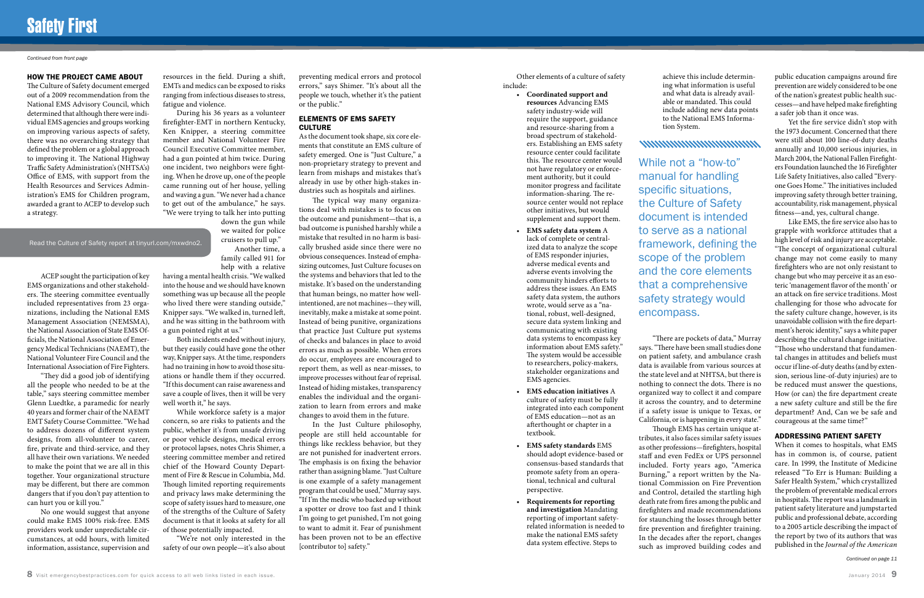#### HOW THE PROJECT CAME ABOUT

The Culture of Safety document emerged out of a 2009 recommendation from the National EMS Advisory Council, which determined that although there were individual EMS agencies and groups working on improving various aspects of safety, there was no overarching strategy that defined the problem or a global approach to improving it. The National Highway Traffic Safety Administration's (NHTSA's) Office of EMS, with support from the Health Resources and Services Administration's EMS for Children program, awarded a grant to ACEP to develop such a strategy.

ACEP sought the participation of key EMS organizations and other stakeholders. The steering committee eventually included representatives from 23 organizations, including the National EMS Management Association (NEMSMA), the National Association of State EMS Officials, the National Association of Emergency Medical Technicians (NAEMT), the National Volunteer Fire Council and the International Association of Fire Fighters.

"They did a good job of identifying all the people who needed to be at the table," says steering committee member Glenn Luedtke, a paramedic for nearly 40 years and former chair of the NAEMT EMT Safety Course Committee. "We had to address dozens of different system designs, from all-volunteer to career, fire, private and third-service, and they all have their own variations. We needed to make the point that we are all in this together. Your organizational structure may be different, but there are common dangers that if you don't pay attention to can hurt you or kill you."

No one would suggest that anyone could make EMS 100% risk-free. EMS providers work under unpredictable circumstances, at odd hours, with limited information, assistance, supervision and

resources in the field. During a shift, EMTs and medics can be exposed to risks ranging from infectious diseases to stress, fatigue and violence.

### ELEMENTS OF EMS SAFETY **CULTURE**

During his 36 years as a volunteer firefighter-EMT in northern Kentucky, Ken Knipper, a steering committee member and National Volunteer Fire Council Executive Committee member, had a gun pointed at him twice. During one incident, two neighbors were fighting. When he drove up, one of the people came running out of her house, yelling and waving a gun. "We never had a chance to get out of the ambulance," he says. "We were trying to talk her into putting

down the gun while we waited for police cruisers to pull up." Another time, a family called 911 for

help with a relative

In the Just Culture philosophy, people are still held accountable for things like reckless behavior, but they are not punished for inadvertent errors. The emphasis is on fixing the behavior rather than assigning blame. "Just Culture is one example of a safety management program that could be used," Murray says. "If I'm the medic who backed up without a spotter or drove too fast and I think I'm going to get punished, I'm not going to want to admit it. Fear of punishment has been proven not to be an effective [contributor to] safety."

having a mental health crisis. "We walked into the house and we should have known something was up because all the people who lived there were standing outside," Knipper says. "We walked in, turned left, and he was sitting in the bathroom with a gun pointed right at us."

Both incidents ended without injury, but they easily could have gone the other way, Knipper says. At the time, responders had no training in how to avoid those situations or handle them if they occurred. "If this document can raise awareness and save a couple of lives, then it will be very well worth it," he says.

While workforce safety is a major concern, so are risks to patients and the public, whether it's from unsafe driving or poor vehicle designs, medical errors or protocol lapses, notes Chris Shimer, a steering committee member and retired chief of the Howard County Department of Fire & Rescue in Columbia, Md. Though limited reporting requirements and privacy laws make determining the scope of safety issues hard to measure, one of the strengths of the Culture of Safety document is that it looks at safety for all of those potentially impacted.

"We're not only interested in the safety of our own people—it's also about preventing medical errors and protocol errors," says Shimer. "It's about all the people we touch, whether it's the patient or the public."

As the document took shape, six core elements that constitute an EMS culture of safety emerged. One is "Just Culture," a non-proprietary strategy to prevent and learn from mishaps and mistakes that's already in use by other high-stakes industries such as hospitals and airlines.

The typical way many organizations deal with mistakes is to focus on the outcome and punishment—that is, a bad outcome is punished harshly while a mistake that resulted in no harm is basically brushed aside since there were no obvious consequences. Instead of emphasizing outcomes, Just Culture focuses on the systems and behaviors that led to the mistake. It's based on the understanding that human beings, no matter how wellintentioned, are not machines—they will, inevitably, make a mistake at some point. Instead of being punitive, organizations that practice Just Culture put systems of checks and balances in place to avoid errors as much as possible. When errors do occur, employees are encouraged to report them, as well as near-misses, to improve processes without fear of reprisal. Instead of hiding mistakes, transparency enables the individual and the organization to learn from errors and make changes to avoid them in the future.

## Safety First

#### *Continued from front page*

*Continued on page 11*

Other elements of a culture of safety include:

• **Coordinated support and resources** Advancing EMS safety industry-wide will require the support, guidance and resource-sharing from a broad spectrum of stakeholders. Establishing an EMS safety resource center could facilitate this. The resource center would not have regulatory or enforcement authority, but it could monitor progress and facilitate information-sharing. The resource center would not replace other initiatives, but would supplement and support them.

### • **EMS safety data system** A lack of complete or centralized data to analyze the scope of EMS responder injuries, adverse medical events and adverse events involving the community hinders efforts to address these issues. An EMS safety data system, the authors wrote, would serve as a "national, robust, well-designed, secure data system linking and communicating with existing data systems to encompass key information about EMS safety." The system would be accessible to researchers, policy-makers, stakeholder organizations and EMS agencies.

- **EMS education initiatives** A culture of safety must be fully integrated into each component of EMS education—not as an afterthought or chapter in a textbook.
- **EMS safety standards** EMS should adopt evidence-based or consensus-based standards that promote safety from an operational, technical and cultural perspective.
- **Requirements for reporting and investigation** Mandating reporting of important safetyrelated information is needed to make the national EMS safety data system effective. Steps to

### 

achieve this include determining what information is useful and what data is already available or mandated. This could include adding new data points to the National EMS Information System.

"There are pockets of data," Murray Though EMS has certain unique at-

says. "There have been small studies done on patient safety, and ambulance crash data is available from various sources at the state level and at NHTSA, but there is nothing to connect the dots. There is no organized way to collect it and compare it across the country, and to determine if a safety issue is unique to Texas, or California, or is happening in every state." tributes, it also faces similar safety issues as other professions—firefighters, hospital staff and even FedEx or UPS personnel included. Forty years ago, "America Burning," a report written by the National Commission on Fire Prevention and Control, detailed the startling high death rate from fires among the public and firefighters and made recommendations for staunching the losses through better fire prevention and firefighter training. In the decades after the report, changes such as improved building codes and

public education campaigns around fire prevention are widely considered to be one of the nation's greatest public health successes—and have helped make firefighting a safer job than it once was.

Yet the fire service didn't stop with the 1973 document. Concerned that there were still about 100 line-of-duty deaths annually and 10,000 serious injuries, in March 2004, the National Fallen Firefighters Foundation launched the 16 Firefighter Life Safety Initiatives, also called "Everyone Goes Home." The initiatives included improving safety through better training, accountability, risk management, physical fitness—and, yes, cultural change.

Like EMS, the fire service also has to grapple with workforce attitudes that a high level of risk and injury are acceptable. "The concept of organizational cultural change may not come easily to many firefighters who are not only resistant to change but who may perceive it as an esoteric 'management flavor of the month' or an attack on fire service traditions. Most challenging for those who advocate for the safety culture change, however, is its unavoidable collision with the fire department's heroic identity," says a white paper describing the cultural change initiative. "Those who understand that fundamental changes in attitudes and beliefs must occur if line-of-duty deaths (and by extension, serious line-of-duty injuries) are to be reduced must answer the questions, How (or can) the fire department create a new safety culture and still be the fire department? And, Can we be safe and courageous at the same time?"

### ADDRESSING PATIENT SAFETY

When it comes to hospitals, what EMS has in common is, of course, patient care. In 1999, the Institute of Medicine released "To Err is Human: Building a Safer Health System," which crystallized the problem of preventable medical errors in hospitals. The report was a landmark in patient safety literature and jumpstarted public and professional debate, according to a 2005 article describing the impact of the report by two of its authors that was published in the *Journal of the American* 

While not a "how-to" manual for handling specific situations, the Culture of Safety document is intended to serve as a national framework, defining the scope of the problem and the core elements that a comprehensive safety strategy would encompass.

Read the Culture of Safety report at tinyurl.com/mxwdno2.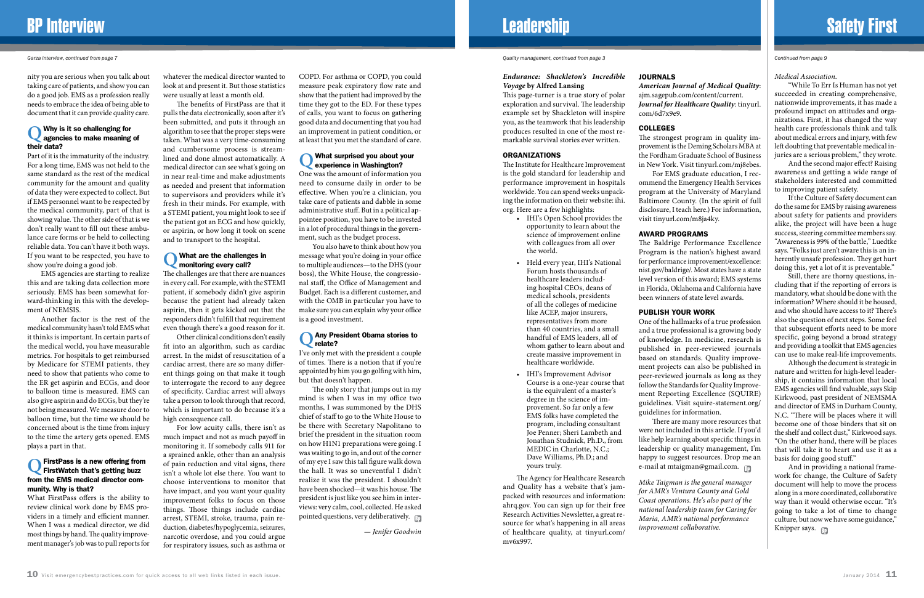*Garza interview, continued from page 7 Quality management, continued from page 3 Continued from page 9*

### *Medical Association*.

"While To Err Is Human has not yet succeeded in creating comprehensive, nationwide improvements, it has made a profound impact on attitudes and organizations. First, it has changed the way health care professionals think and talk about medical errors and injury, with few left doubting that preventable medical injuries are a serious problem," they wrote.

And the second major effect? Raising awareness and getting a wide range of stakeholders interested and committed to improving patient safety.

If the Culture of Safety document can do the same for EMS by raising awareness about safety for patients and providers alike, the project will have been a huge success, steering committee members say. "Awareness is 99% of the battle," Luedtke says. "Folks just aren't aware this is an inherently unsafe profession. They get hurt doing this, yet a lot of it is preventable."

And in providing a national framework for change, the Culture of Safety document will help to move the process along in a more coordinated, collaborative way than it would otherwise occur. "It's going to take a lot of time to change culture, but now we have some guidance," Knipper says.

Still, there are thorny questions, including that if the reporting of errors is mandatory, what should be done with the information? Where should it be housed, and who should have access to it? There's also the question of next steps. Some feel that subsequent efforts need to be more specific, going beyond a broad strategy and providing a toolkit that EMS agencies can use to make real-life improvements.

Although the document is strategic in nature and written for high-level leadership, it contains information that local EMS agencies will find valuable, says Skip Kirkwood, past president of NEMSMA and director of EMS in Durham County, N.C. "There will be places where it will become one of those binders that sit on the shelf and collect dust," Kirkwood says. "On the other hand, there will be places that will take it to heart and use it as a basis for doing good stuff."

## BP Interview **Safety First** Safety First And The Leadership Safety First Safety First And The Safety First Safety First

nity you are serious when you talk about taking care of patients, and show you can do a good job. EMS as a profession really needs to embrace the idea of being able to document that it can provide quality care.

### **Q** Why is it so challenging for agencies to make meaning of their data?

Part of it is the immaturity of the industry. For a long time, EMS was not held to the same standard as the rest of the medical community for the amount and quality of data they were expected to collect. But if EMS personnel want to be respected by the medical community, part of that is showing value. The other side of that is we don't really want to fill out these ambulance care forms or be held to collecting reliable data. You can't have it both ways. If you want to be respected, you have to show you're doing a good job.

EMS agencies are starting to realize this and are taking data collection more seriously. EMS has been somewhat forward-thinking in this with the development of NEMSIS.

Another factor is the rest of the medical community hasn't told EMS what it thinks is important. In certain parts of the medical world, you have measurable metrics. For hospitals to get reimbursed by Medicare for STEMI patients, they need to show that patients who come to the ER get aspirin and ECGs, and door to balloon time is measured. EMS can also give aspirin and do ECGs, but they're not being measured. We measure door to balloon time, but the time we should be concerned about is the time from injury to the time the artery gets opened. EMS plays a part in that.

### **Q** Any President Obama stories to relate?

The only story that jumps out in my mind is when I was in my office two months, I was summoned by the DHS chief of staff to go to the White House to be there with Secretary Napolitano to brief the president in the situation room on how H1N1 preparations were going. I was waiting to go in, and out of the corner of my eye I saw this tall figure walk down the hall. It was so uneventful I didn't realize it was the president. I shouldn't have been shocked—it was his house. The president is just like you see him in interviews: very calm, cool, collected. He asked pointed questions, very deliberatively.  $\Box$ 

### **Q** FirstPass is a new offering from FirstWatch that's getting buzz from the EMS medical director community. Why is that?

What FirstPass offers is the ability to review clinical work done by EMS providers in a timely and efficient manner. When I was a medical director, we did most things by hand. The quality improvement manager's job was to pull reports for

whatever the medical director wanted to look at and present it. But those statistics were usually at least a month old.

The benefits of FirstPass are that it pulls the data electronically, soon after it's been submitted, and puts it through an algorithm to see that the proper steps were taken. What was a very time-consuming and cumbersome process is streamlined and done almost automatically. A medical director can see what's going on in near real-time and make adjustments as needed and present that information to supervisors and providers while it's fresh in their minds. For example, with a STEMI patient, you might look to see if the patient got an ECG and how quickly, or aspirin, or how long it took on scene and to transport to the hospital.

### **Q** What are the challenges in monitoring every call?

The challenges are that there are nuances in every call. For example, with the STEMI patient, if somebody didn't give aspirin because the patient had already taken aspirin, then it gets kicked out that the responders didn't fulfill that requirement even though there's a good reason for it.

Other clinical conditions don't easily fit into an algorithm, such as cardiac arrest. In the midst of resuscitation of a cardiac arrest, there are so many different things going on that make it tough to interrogate the record to any degree of specificity. Cardiac arrest will always take a person to look through that record, which is important to do because it's a high consequence call.

There are many more resources that were not included in this article. If you'd like help learning about specific things in leadership or quality management, I'm happy to suggest resources. Drop me an e-mail at mtaigman@gmail.com.

For low acuity calls, there isn't as much impact and not as much payoff in monitoring it. If somebody calls 911 for a sprained ankle, other than an analysis of pain reduction and vital signs, there isn't a whole lot else there. You want to choose interventions to monitor that have impact, and you want your quality improvement folks to focus on those things. Those things include cardiac arrest, STEMI, stroke, trauma, pain reduction, diabetes/hypoglycemia, seizures, narcotic overdose, and you could argue for respiratory issues, such as asthma or COPD. For asthma or COPD, you could measure peak expiratory flow rate and show that the patient had improved by the time they got to the ED. For these types of calls, you want to focus on gathering good data and documenting that you had an improvement in patient condition, or at least that you met the standard of care.

### **Q** What surprised you about your experience in Washington?

One was the amount of information you need to consume daily in order to be effective. When you're a clinician, you take care of patients and dabble in some administrative stuff. But in a political appointee position, you have to be invested in a lot of procedural things in the government, such as the budget process.

You also have to think about how you message what you're doing in your office to multiple audiences—to the DHS (your boss), the White House, the congressional staff, the Office of Management and Budget. Each is a different customer, and with the OMB in particular you have to make sure you can explain why your office is a good investment.

I've only met with the president a couple of times. There is a notion that if you're appointed by him you go golfing with him, but that doesn't happen.

*— Jenifer Goodwin*

### *Endurance: Shackleton's Incredible Voyage* **by Alfred Lansing**

This page-turner is a true story of polar exploration and survival. The leadership example set by Shackleton will inspire you, as the teamwork that his leadership produces resulted in one of the most remarkable survival stories ever written.

#### ORGANIZATIONS

The Institute for Healthcare Improvement is the gold standard for leadership and performance improvement in hospitals worldwide. You can spend weeks unpacking the information on their website: ihi. org. Here are a few highlights:

- IHI's Open School provides the opportunity to learn about the science of improvement online with colleagues from all over the world.
- Held every year, IHI's National Forum hosts thousands of healthcare leaders including hospital CEOs, deans of medical schools, presidents of all the colleges of medicine like ACEP, major insurers, representatives from more than 40 countries, and a small handful of EMS leaders, all of whom gather to learn about and create massive improvement in healthcare worldwide.
- IHI's Improvement Advisor Course is a one-year course that is the equivalent of a master's degree in the science of improvement. So far only a few EMS folks have completed the program, including consultant Joe Penner; Sheri Lambeth and Jonathan Studnick, Ph.D., from MEDIC in Charlotte, N.C.; Dave Williams, Ph.D.; and yours truly.

The Agency for Healthcare Research and Quality has a website that's jampacked with resources and information: ahrq.gov. You can sign up for their free Research Activities Newsletter, a great resource for what's happening in all areas of healthcare quality, at tinyurl.com/ mv6x997.

# JOURNALS

*American Journal of Medical Quality*: ajm.sagepub.com/content/current. *Journal for Healthcare Quality*: tinyurl. com/6d7x9e9.

### COLLEGES

The strongest program in quality improvement is the Deming Scholars MBA at the Fordham Graduate School of Business in New York. Visit tinyurl.com/mj8ebes. For EMS graduate education, I recommend the Emergency Health Services program at the University of Maryland Baltimore County. (In the spirit of full disclosure, I teach here.) For information, visit tinyurl.com/m8ja4ky.

### AWARD PROGRAMS

The Baldrige Performance Excellence Program is the nation's highest award for performance improvement/excellence: nist.gov/baldrige/. Most states have a state level version of this award; EMS systems in Florida, Oklahoma and California have been winners of state level awards.

### PUBLISH YOUR WORK

One of the hallmarks of a true profession and a true professional is a growing body of knowledge. In medicine, research is published in peer-reviewed journals based on standards. Quality improvement projects can also be published in peer-reviewed journals as long as they follow the Standards for Quality Improvement Reporting Excellence (SQUIRE) guidelines. Visit squire-statement.org/ guidelines for information.

*Mike Taigman is the general manager for AMR's Ventura County and Gold Coast operations. He's also part of the national leadership team for Caring for Maria, AMR's national performance improvement collaborative.*